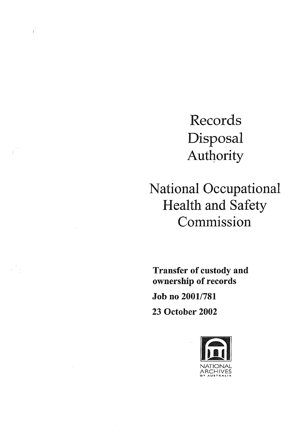# Records Disposal Authority

National Occupational Health and Safety Commission

Transfer of custody and ownership of records Job no 2001/781 23 October 2002

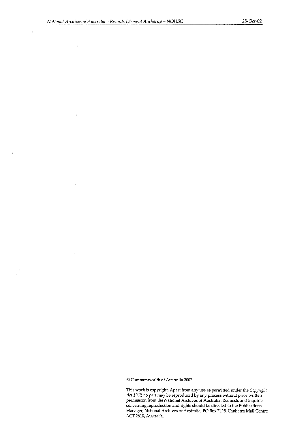$\sim$ 

 $\hat{r}$ 

 $\bar{\gamma}$ 

 $\mathbb{E} \subset \mathbb{R}$ 

ť

© **Commonwealth of Australia 2002** 

This work is copyright. Apart from any use as permitted under the *Copyright Act* **1968, no partmay be reproduced by any process without prior written permission from the National Archives of Australia.Requestsand inquiries**  concerning reproduction and rights should be directed to the Publications **Manager, NationalArchives of Australia,PO Box7425,Canberra Mail Centre ACT 2610,Australia.**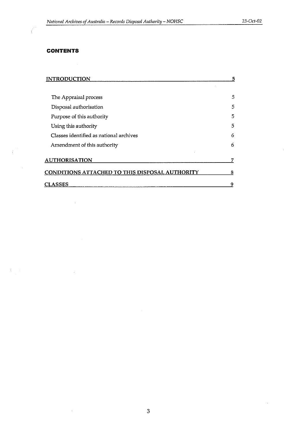$\ddot{\phantom{0}}$ 

 $\sim$ 

# **CONTENTS**

 $\sim$   $\sim$ 

 $\sim r^2$ 

 $\mathcal{A}^{\mathcal{A}}$ 

 $\sim 10^{-11}$ 

 $\overline{\mathcal{C}}$ 

 $\frac{1}{\sqrt{2}}\frac{1}{\sqrt{2}}$ 

| <b>INTRODUCTION</b>                            |   |
|------------------------------------------------|---|
|                                                |   |
| The Appraisal process                          | 5 |
| Disposal authorisation                         | 5 |
| Purpose of this authority                      | 5 |
| Using this authority                           | 5 |
| Classes identified as national archives        |   |
| Amendment of this authority                    | 6 |
| <b>AUTHORISATION</b>                           | 7 |
| CONDITIONS ATTACHED TO THIS DISPOSAL AUTHORITY | 8 |
| <b>CLASSES</b>                                 | 9 |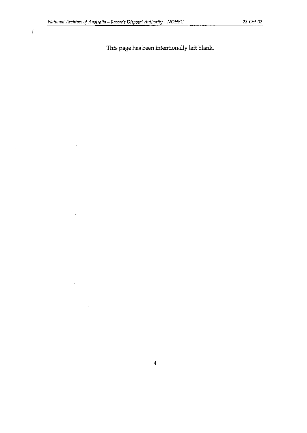$\bar{z}$ 

 $\hat{\epsilon}$ 

 $\bar{z}$ 

 $\frac{1}{4}$ 

l,

 $\int$ 

 $\bar{\gamma}$ 

 $\mathbb{C} \times \mathbb{R}$ 

**Thispage has been intentionally left blank.**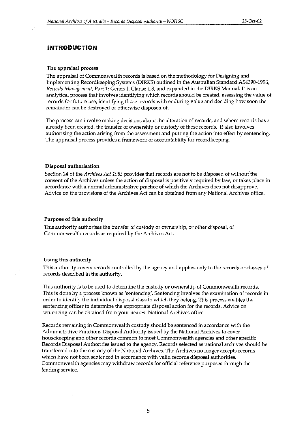# **INTRODUCTION**

### The appraisal process

The appraisal of Commonwealth records is based on the methodology for Designing and Implementing Recordkeeping Systems (DIRKS) outlined in the Australian Standard AS4390-1996, *Records Management,* Part 1: General, Clause 1.3, and expanded in the DIRKSManual. It is an analytical process that involves identifying which records should be created, assessing the value of records for future use, identifying those records with enduring value and deciding how soon the remainder can be destroyed or otherwise disposed of.

The process can involve making decisions about the alteration of records, and where records have already been created, the transfer of ownership or custody of these records. It also involves authorising the action arising from the assessment and putting the action into effect by sentencing. 111e appraisal process provides a framework of accountability for recordkeeping.

# Disposal authorisation

Section 24 of the *Archives Act 1983* provides that records are not to be disposed of without the consent of the Archives unless the action of disposal is positively required by law, or takes place in accordance with a normal administrative practice of which the Archives does not disapprove. Advice on the provisions of the Archives Act can be obtained from any National Archives office.

### Purpose of this authority

This authority authorises the transfer of custody or ownership, or other disposal, of Commonwealth records as required by the Archives Act.

# Using this authority

This authority covers records controlled by the agency and applies only to the records or classes of records described in the authority.

This authority is to be used to determine the custody or ownership of Commonwealth records. This is done by a process known as 'sentencing'. Sentencing involves the examination of records in order to identify the individual disposal class to which they belong. This process enables the sentencing officer to determine the appropriate disposal action for the records. Advice on sentencing can be obtained from your nearest National Archives office.

Records remaining in Commonwealth custody should be sentenced in accordance with the Administrative Functions Disposal Authority issued by the National Archives to cover housekeeping and other records common to most Commonwealth agencies and other specific Records Disposal Authorities issued to the agency. Records selected as national archives should be transferred into the custody of the National Archives. The Archives no longer accepts records which have not been sentenced in accordance with valid records disposal authorities. Commonwealth agencies may withdraw records for official reference purposes through the lending service.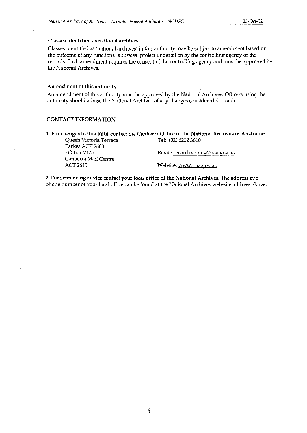# Classes identified as national archives

Classes identified as 'national archives' in this authority may be subject to amendment based on the outcome of any functional appraisal project undertaken by the controlling agency of the records. Such amendment requires the consent of the controlling agency and must be approved by the National Archives.

# Amendment of this authority

An amendment of this authority must be approved by the National Archives. Officers using the authority should advise the National Archives of any changes considered desirable.

# CONTACT INFORMATION

| 1. For changes to this RDA contact the Canberra Office of the National Archives of Australia: |  |
|-----------------------------------------------------------------------------------------------|--|
|-----------------------------------------------------------------------------------------------|--|

Queen Victoria Terrace Tel: (02) 6212 3610 Parkes ACT 2600 PO Box 7425 **Email:** recordkeeping@naa.gov.au Canberra Mail Centre ACT 2610 Website: www.naa.gov.au

2. For sentencing advice contact your local office of the National Archives. The address and phone number of your local office can be found at the National Archives web-site address above.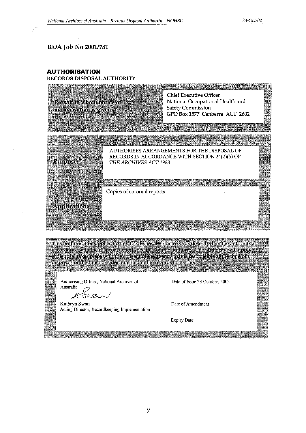# **RDA Job No 2001/781**

# **AUTHORISATION RECORDS DISPOSAL AUTHORITY**

.<br>Term protectiones a root free in article in order the contract through the protection of the state of the term

| Person to whom notice of<br>authorisation is given: |                            | <b>Chief Executive Officer</b><br>National Occupational Health and<br><b>Safety Commission</b><br>GPO Box 1577 Canberra ACT 2602 |
|-----------------------------------------------------|----------------------------|----------------------------------------------------------------------------------------------------------------------------------|
|                                                     |                            |                                                                                                                                  |
| Porrose                                             | THE ARCHIVES ACT 1983      | AUTHORISES ARRANGEMENTS FOR THE DISPOSAL OF<br>RECORDS IN ACCORDANCE WITH SECTION 24(2)(b) OF                                    |
| <b>Applications</b>                                 | Copies of coronial reports |                                                                                                                                  |

This authorisation applies to only the disposal of the records described on the authority in accordance with the disposal action specified on the authority. The authority will apply only if disposal takes place with the consent of the agency that is responsible at the time of disposal for the timelions documented in the records concerned

Authorising Officer, National Archives of Australia

Ł くひへの

**TAMAN DER** 

Kathryn Swan Acting Director, Recordkeeping Implementation

Date of Issue 23 October, 2002

Date of Amendment

**Expiry Date**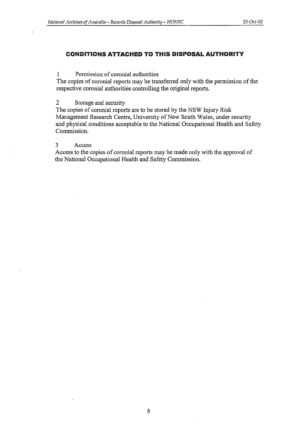# **CONDITIONS ATTACHED TO THIS DISPOSAL AUTHORITY**

# I Permission of coronial authorities

The copies of coronial reports may be transferred only with the permission of the respective coronial authorities controlling the original reports.

2 Storage and security

The copies of coronial reports are to be stored by the NSW Injury Risk Management Research Centre, University of New South Wales, under security and physical conditions acceptable to the National Occupational Health and Safety Commission.

# 3 Access

Access to the copies of coronial reports may be made only with the approval of the National Occupational Health and Safety Commission.

8